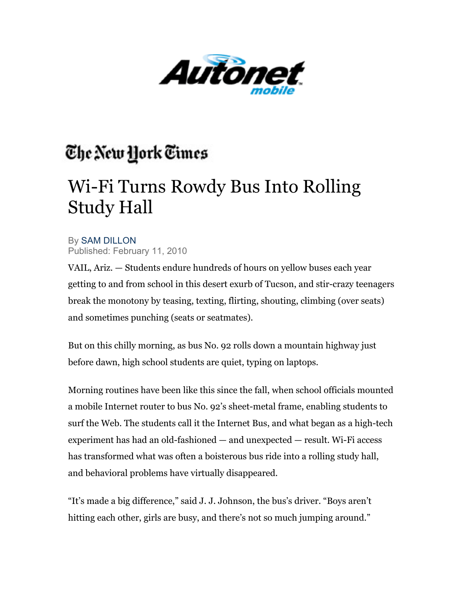

## The New York Times

## Wi-Fi Turns Rowdy Bus Into Rolling Study Hall

## By SAM DILLON Published: February 11, 2010

VAIL, Ariz. — Students endure hundreds of hours on yellow buses each year getting to and from school in this desert exurb of Tucson, and stir-crazy teenagers break the monotony by teasing, texting, flirting, shouting, climbing (over seats) and sometimes punching (seats or seatmates).

But on this chilly morning, as bus No. 92 rolls down a mountain highway just before dawn, high school students are quiet, typing on laptops.

Morning routines have been like this since the fall, when school officials mounted a mobile Internet router to bus No. 92's sheet-metal frame, enabling students to surf the Web. The students call it the Internet Bus, and what began as a high-tech experiment has had an old-fashioned — and unexpected — result. Wi-Fi access has transformed what was often a boisterous bus ride into a rolling study hall, and behavioral problems have virtually disappeared.

"It's made a big difference," said J. J. Johnson, the bus's driver. "Boys aren't hitting each other, girls are busy, and there's not so much jumping around."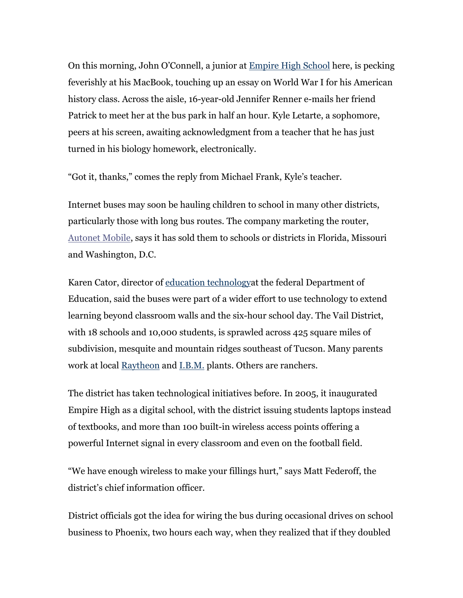On this morning, John O'Connell, a junior at Empire High School here, is pecking feverishly at his MacBook, touching up an essay on World War I for his American history class. Across the aisle, 16-year-old Jennifer Renner e-mails her friend Patrick to meet her at the bus park in half an hour. Kyle Letarte, a sophomore, peers at his screen, awaiting acknowledgment from a teacher that he has just turned in his biology homework, electronically.

"Got it, thanks," comes the reply from Michael Frank, Kyle's teacher.

Internet buses may soon be hauling children to school in many other districts, particularly those with long bus routes. The company marketing the router, Autonet Mobile, says it has sold them to schools or districts in Florida, Missouri and Washington, D.C.

Karen Cator, director of education technologyat the federal Department of Education, said the buses were part of a wider effort to use technology to extend learning beyond classroom walls and the six-hour school day. The Vail District, with 18 schools and 10,000 students, is sprawled across 425 square miles of subdivision, mesquite and mountain ridges southeast of Tucson. Many parents work at local Raytheon and I.B.M. plants. Others are ranchers.

The district has taken technological initiatives before. In 2005, it inaugurated Empire High as a digital school, with the district issuing students laptops instead of textbooks, and more than 100 built-in wireless access points offering a powerful Internet signal in every classroom and even on the football field.

"We have enough wireless to make your fillings hurt," says Matt Federoff, the district's chief information officer.

District officials got the idea for wiring the bus during occasional drives on school business to Phoenix, two hours each way, when they realized that if they doubled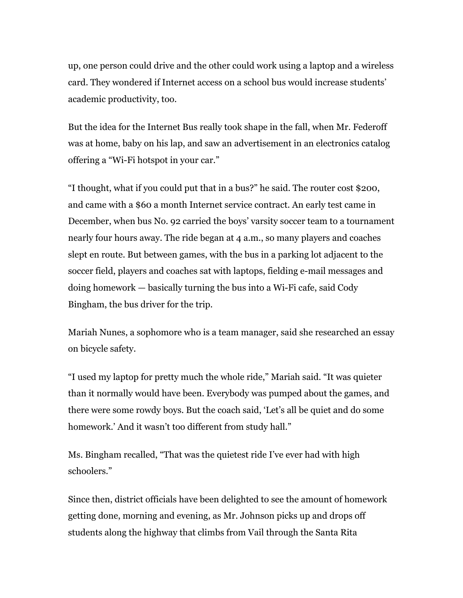up, one person could drive and the other could work using a laptop and a wireless card. They wondered if Internet access on a school bus would increase students' academic productivity, too.

But the idea for the Internet Bus really took shape in the fall, when Mr. Federoff was at home, baby on his lap, and saw an advertisement in an electronics catalog offering a "Wi-Fi hotspot in your car."

"I thought, what if you could put that in a bus?" he said. The router cost \$200, and came with a \$60 a month Internet service contract. An early test came in December, when bus No. 92 carried the boys' varsity soccer team to a tournament nearly four hours away. The ride began at 4 a.m., so many players and coaches slept en route. But between games, with the bus in a parking lot adjacent to the soccer field, players and coaches sat with laptops, fielding e-mail messages and doing homework — basically turning the bus into a Wi-Fi cafe, said Cody Bingham, the bus driver for the trip.

Mariah Nunes, a sophomore who is a team manager, said she researched an essay on bicycle safety.

"I used my laptop for pretty much the whole ride," Mariah said. "It was quieter than it normally would have been. Everybody was pumped about the games, and there were some rowdy boys. But the coach said, 'Let's all be quiet and do some homework.' And it wasn't too different from study hall."

Ms. Bingham recalled, "That was the quietest ride I've ever had with high schoolers."

Since then, district officials have been delighted to see the amount of homework getting done, morning and evening, as Mr. Johnson picks up and drops off students along the highway that climbs from Vail through the Santa Rita